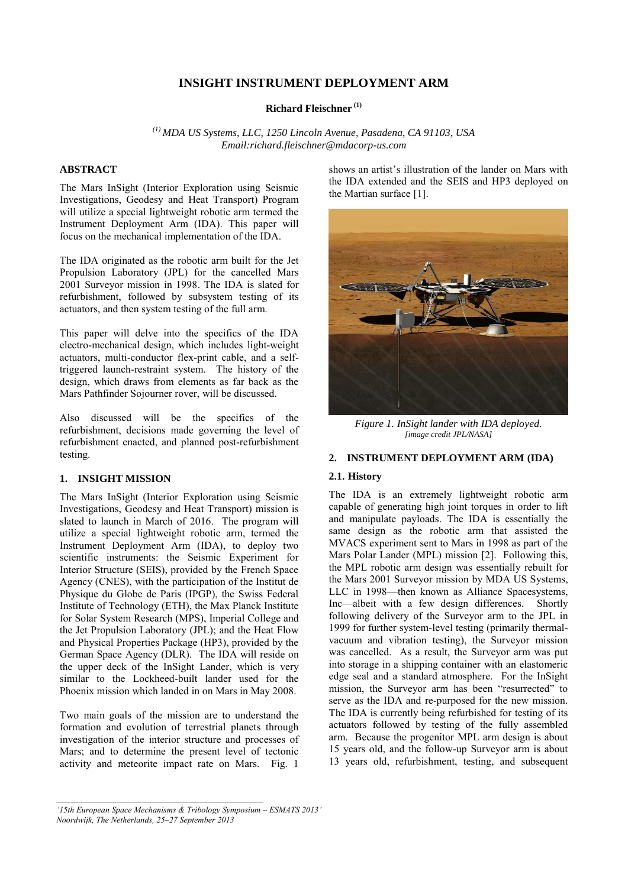# **INSIGHT INSTRUMENT DEPLOYMENT ARM**

## **Richard Fleischner (1)**

*(1) MDA US Systems, LLC, 1250 Lincoln Avenue, Pasadena, CA 91103, USA Email:richard.fleischner@mdacorp-us.com* 

## **ABSTRACT**

The Mars InSight (Interior Exploration using Seismic Investigations, Geodesy and Heat Transport) Program will utilize a special lightweight robotic arm termed the Instrument Deployment Arm (IDA). This paper will focus on the mechanical implementation of the IDA.

The IDA originated as the robotic arm built for the Jet Propulsion Laboratory (JPL) for the cancelled Mars 2001 Surveyor mission in 1998. The IDA is slated for refurbishment, followed by subsystem testing of its actuators, and then system testing of the full arm.

This paper will delve into the specifics of the IDA electro-mechanical design, which includes light-weight actuators, multi-conductor flex-print cable, and a selftriggered launch-restraint system. The history of the design, which draws from elements as far back as the Mars Pathfinder Sojourner rover, will be discussed.

Also discussed will be the specifics of the refurbishment, decisions made governing the level of refurbishment enacted, and planned post-refurbishment testing.

#### **1. INSIGHT MISSION**

The Mars InSight (Interior Exploration using Seismic Investigations, Geodesy and Heat Transport) mission is slated to launch in March of 2016. The program will utilize a special lightweight robotic arm, termed the Instrument Deployment Arm (IDA), to deploy two scientific instruments: the Seismic Experiment for Interior Structure (SEIS), provided by the French Space Agency (CNES), with the participation of the Institut de Physique du Globe de Paris (IPGP), the Swiss Federal Institute of Technology (ETH), the Max Planck Institute for Solar System Research (MPS), Imperial College and the Jet Propulsion Laboratory (JPL); and the Heat Flow and Physical Properties Package (HP3), provided by the German Space Agency (DLR). The IDA will reside on the upper deck of the InSight Lander, which is very similar to the Lockheed-built lander used for the Phoenix mission which landed in on Mars in May 2008.

Two main goals of the mission are to understand the formation and evolution of terrestrial planets through investigation of the interior structure and processes of Mars; and to determine the present level of tectonic activity and meteorite impact rate on Mars. Fig. 1

shows an artist's illustration of the lander on Mars with the IDA extended and the SEIS and HP3 deployed on the Martian surface [1].



*Figure 1. InSight lander with IDA deployed. [image credit JPL/NASA]* 

#### **2. INSTRUMENT DEPLOYMENT ARM (IDA)**

#### **2.1. History**

The IDA is an extremely lightweight robotic arm capable of generating high joint torques in order to lift and manipulate payloads. The IDA is essentially the same design as the robotic arm that assisted the MVACS experiment sent to Mars in 1998 as part of the Mars Polar Lander (MPL) mission [2]. Following this, the MPL robotic arm design was essentially rebuilt for the Mars 2001 Surveyor mission by MDA US Systems, LLC in 1998—then known as Alliance Spacesystems, Inc—albeit with a few design differences. Shortly following delivery of the Surveyor arm to the JPL in 1999 for further system-level testing (primarily thermalvacuum and vibration testing), the Surveyor mission was cancelled. As a result, the Surveyor arm was put into storage in a shipping container with an elastomeric edge seal and a standard atmosphere. For the InSight mission, the Surveyor arm has been "resurrected" to serve as the IDA and re-purposed for the new mission. The IDA is currently being refurbished for testing of its actuators followed by testing of the fully assembled arm. Because the progenitor MPL arm design is about 15 years old, and the follow-up Surveyor arm is about 13 years old, refurbishment, testing, and subsequent

 $\mathcal{L}_\mathcal{L} = \{ \mathcal{L}_\mathcal{L} = \{ \mathcal{L}_\mathcal{L} \}$ 

*<sup>&#</sup>x27;15th European Space Mechanisms & Tribology Symposium – ESMATS 2013' Noordwijk, The Netherlands, 25–27 September 2013*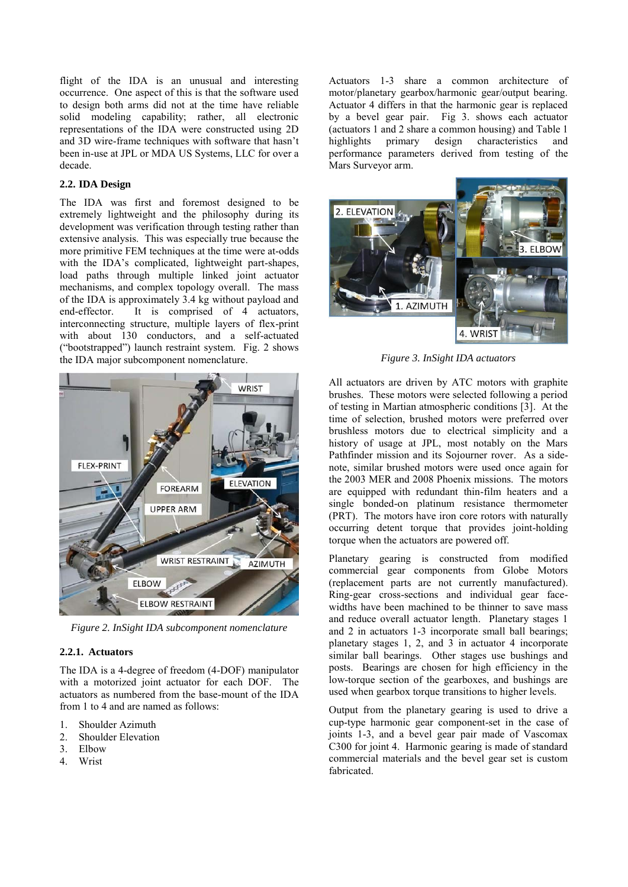flight of the IDA is an unusual and interesting occurrence. One aspect of this is that the software used to design both arms did not at the time have reliable solid modeling capability; rather, all electronic representations of the IDA were constructed using 2D and 3D wire-frame techniques with software that hasn't been in-use at JPL or MDA US Systems, LLC for over a decade.

## **2.2. IDA Design**

The IDA was first and foremost designed to be extremely lightweight and the philosophy during its development was verification through testing rather than extensive analysis. This was especially true because the more primitive FEM techniques at the time were at-odds with the IDA's complicated, lightweight part-shapes, load paths through multiple linked joint actuator mechanisms, and complex topology overall. The mass of the IDA is approximately 3.4 kg without payload and end-effector. It is comprised of 4 actuators, interconnecting structure, multiple layers of flex-print with about 130 conductors, and a self-actuated ("bootstrapped") launch restraint system. Fig. 2 shows the IDA major subcomponent nomenclature.



*Figure 2. InSight IDA subcomponent nomenclature* 

# **2.2.1. Actuators**

The IDA is a 4-degree of freedom (4-DOF) manipulator with a motorized joint actuator for each DOF. The actuators as numbered from the base-mount of the IDA from 1 to 4 and are named as follows:

- 1. Shoulder Azimuth
- 2. Shoulder Elevation
- 3. Elbow
- 4. Wrist

Actuators 1-3 share a common architecture of motor/planetary gearbox/harmonic gear/output bearing. Actuator 4 differs in that the harmonic gear is replaced by a bevel gear pair. Fig 3. shows each actuator (actuators 1 and 2 share a common housing) and Table 1 highlights primary design characteristics and performance parameters derived from testing of the Mars Surveyor arm.



*Figure 3. InSight IDA actuators* 

All actuators are driven by ATC motors with graphite brushes. These motors were selected following a period of testing in Martian atmospheric conditions [3]. At the time of selection, brushed motors were preferred over brushless motors due to electrical simplicity and a history of usage at JPL, most notably on the Mars Pathfinder mission and its Sojourner rover. As a sidenote, similar brushed motors were used once again for the 2003 MER and 2008 Phoenix missions. The motors are equipped with redundant thin-film heaters and a single bonded-on platinum resistance thermometer (PRT). The motors have iron core rotors with naturally occurring detent torque that provides joint-holding torque when the actuators are powered off.

Planetary gearing is constructed from modified commercial gear components from Globe Motors (replacement parts are not currently manufactured). Ring-gear cross-sections and individual gear facewidths have been machined to be thinner to save mass and reduce overall actuator length. Planetary stages 1 and 2 in actuators 1-3 incorporate small ball bearings; planetary stages 1, 2, and 3 in actuator 4 incorporate similar ball bearings. Other stages use bushings and posts. Bearings are chosen for high efficiency in the low-torque section of the gearboxes, and bushings are used when gearbox torque transitions to higher levels.

Output from the planetary gearing is used to drive a cup-type harmonic gear component-set in the case of joints 1-3, and a bevel gear pair made of Vascomax C300 for joint 4. Harmonic gearing is made of standard commercial materials and the bevel gear set is custom fabricated.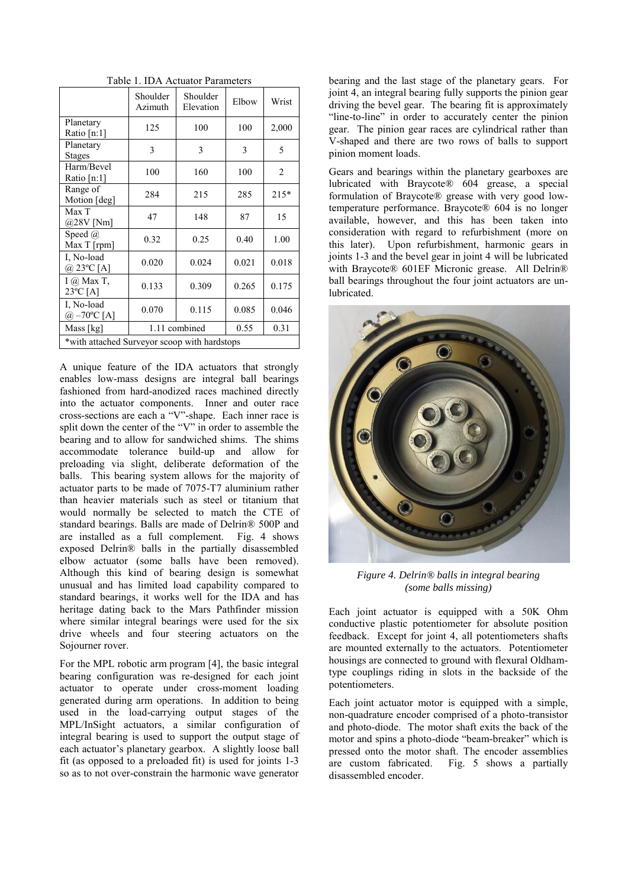| Table 1. IDA Actuator Parameters |  |
|----------------------------------|--|
|----------------------------------|--|

|                                                | Shoulder<br>Azimuth | Shoulder<br>Elevation | Elbow | Wrist          |  |
|------------------------------------------------|---------------------|-----------------------|-------|----------------|--|
| Planetary<br>Ratio [n:1]                       | 125                 | 100                   | 100   | 2,000          |  |
| Planetary<br><b>Stages</b>                     | 3                   | 3                     | 3     | 5              |  |
| Harm/Bevel<br>Ratio [n:1]                      | 100                 | 160                   | 100   | $\overline{2}$ |  |
| Range of<br>Motion [deg]                       | 284                 | 215                   | 285   | 215*           |  |
| Max T<br>$@28V$ [Nm]                           | 47                  | 148                   | 87    | 15             |  |
| Speed $(a)$<br>Max T [rpm]                     | 0.32                | 0.25                  | 0.40  | 1.00           |  |
| I. No-load<br>$(a) 23^{\circ}C$ [A]            | 0.020               | 0.024                 | 0.021 | 0.018          |  |
| $I(\hat{\omega})$ Max T,<br>$23^{\circ}$ C [A] | 0.133               | 0.309                 | 0.265 | 0.175          |  |
| I, No-load<br>@ $-70^{\circ}$ C [A]            | 0.070               | 0.115                 | 0.085 | 0.046          |  |
| Mass [kg]                                      | 1.11 combined       |                       | 0.55  | 0.31           |  |
| *with attached Surveyor scoop with hardstops   |                     |                       |       |                |  |

A unique feature of the IDA actuators that strongly enables low-mass designs are integral ball bearings fashioned from hard-anodized races machined directly into the actuator components. Inner and outer race cross-sections are each a "V"-shape. Each inner race is split down the center of the "V" in order to assemble the bearing and to allow for sandwiched shims. The shims accommodate tolerance build-up and allow for preloading via slight, deliberate deformation of the balls. This bearing system allows for the majority of actuator parts to be made of 7075-T7 aluminium rather than heavier materials such as steel or titanium that would normally be selected to match the CTE of standard bearings. Balls are made of Delrin® 500P and are installed as a full complement. Fig. 4 shows exposed Delrin® balls in the partially disassembled elbow actuator (some balls have been removed). Although this kind of bearing design is somewhat unusual and has limited load capability compared to standard bearings, it works well for the IDA and has heritage dating back to the Mars Pathfinder mission where similar integral bearings were used for the six drive wheels and four steering actuators on the Sojourner rover.

For the MPL robotic arm program [4], the basic integral bearing configuration was re-designed for each joint actuator to operate under cross-moment loading generated during arm operations. In addition to being used in the load-carrying output stages of the MPL/InSight actuators, a similar configuration of integral bearing is used to support the output stage of each actuator's planetary gearbox. A slightly loose ball fit (as opposed to a preloaded fit) is used for joints 1-3 so as to not over-constrain the harmonic wave generator bearing and the last stage of the planetary gears. For joint 4, an integral bearing fully supports the pinion gear driving the bevel gear. The bearing fit is approximately "line-to-line" in order to accurately center the pinion gear. The pinion gear races are cylindrical rather than V-shaped and there are two rows of balls to support pinion moment loads.

Gears and bearings within the planetary gearboxes are lubricated with Braycote® 604 grease, a special formulation of Braycote® grease with very good lowtemperature performance. Braycote® 604 is no longer available, however, and this has been taken into consideration with regard to refurbishment (more on this later). Upon refurbishment, harmonic gears in joints 1-3 and the bevel gear in joint 4 will be lubricated with Braycote® 601EF Micronic grease. All Delrin® ball bearings throughout the four joint actuators are unlubricated.



*Figure 4. Delrin® balls in integral bearing (some balls missing)* 

Each joint actuator is equipped with a 50K Ohm conductive plastic potentiometer for absolute position feedback. Except for joint 4, all potentiometers shafts are mounted externally to the actuators. Potentiometer housings are connected to ground with flexural Oldhamtype couplings riding in slots in the backside of the potentiometers.

Each joint actuator motor is equipped with a simple, non-quadrature encoder comprised of a photo-transistor and photo-diode. The motor shaft exits the back of the motor and spins a photo-diode "beam-breaker" which is pressed onto the motor shaft. The encoder assemblies are custom fabricated. Fig. 5 shows a partially disassembled encoder.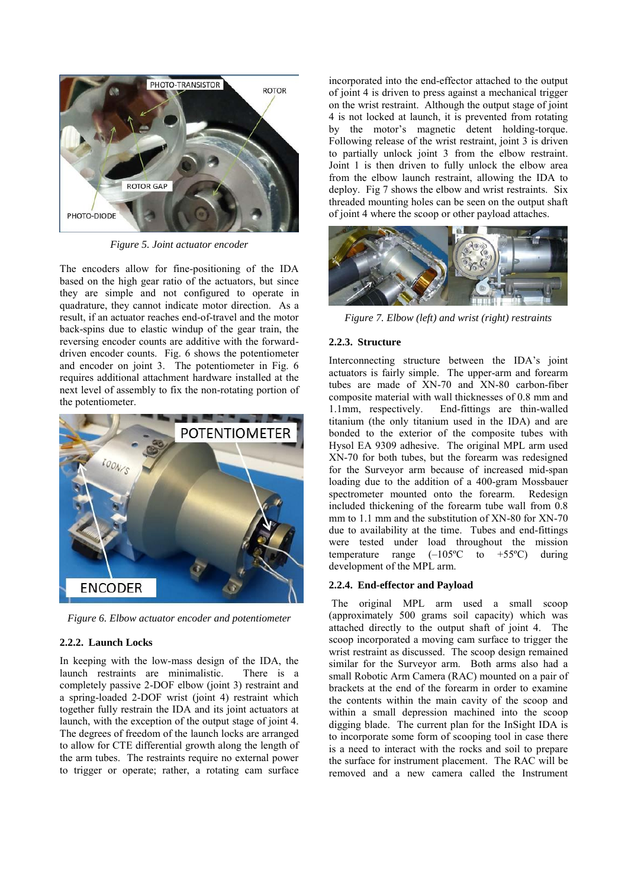

*Figure 5. Joint actuator encoder* 

The encoders allow for fine-positioning of the IDA based on the high gear ratio of the actuators, but since they are simple and not configured to operate in quadrature, they cannot indicate motor direction. As a result, if an actuator reaches end-of-travel and the motor back-spins due to elastic windup of the gear train, the reversing encoder counts are additive with the forwarddriven encoder counts. Fig. 6 shows the potentiometer and encoder on joint 3. The potentiometer in Fig. 6 requires additional attachment hardware installed at the next level of assembly to fix the non-rotating portion of the potentiometer.



*Figure 6. Elbow actuator encoder and potentiometer* 

#### **2.2.2. Launch Locks**

In keeping with the low-mass design of the IDA, the launch restraints are minimalistic. There is a completely passive 2-DOF elbow (joint 3) restraint and a spring-loaded 2-DOF wrist (joint 4) restraint which together fully restrain the IDA and its joint actuators at launch, with the exception of the output stage of joint 4. The degrees of freedom of the launch locks are arranged to allow for CTE differential growth along the length of the arm tubes. The restraints require no external power to trigger or operate; rather, a rotating cam surface

incorporated into the end-effector attached to the output of joint 4 is driven to press against a mechanical trigger on the wrist restraint. Although the output stage of joint 4 is not locked at launch, it is prevented from rotating by the motor's magnetic detent holding-torque. Following release of the wrist restraint, joint 3 is driven to partially unlock joint 3 from the elbow restraint. Joint 1 is then driven to fully unlock the elbow area from the elbow launch restraint, allowing the IDA to deploy. Fig 7 shows the elbow and wrist restraints. Six threaded mounting holes can be seen on the output shaft of joint 4 where the scoop or other payload attaches.



*Figure 7. Elbow (left) and wrist (right) restraints* 

## **2.2.3. Structure**

Interconnecting structure between the IDA's joint actuators is fairly simple. The upper-arm and forearm tubes are made of XN-70 and XN-80 carbon-fiber composite material with wall thicknesses of 0.8 mm and 1.1mm, respectively. End-fittings are thin-walled End-fittings are thin-walled titanium (the only titanium used in the IDA) and are bonded to the exterior of the composite tubes with Hysol EA 9309 adhesive. The original MPL arm used XN-70 for both tubes, but the forearm was redesigned for the Surveyor arm because of increased mid-span loading due to the addition of a 400-gram Mossbauer spectrometer mounted onto the forearm. Redesign included thickening of the forearm tube wall from 0.8 mm to 1.1 mm and the substitution of XN-80 for XN-70 due to availability at the time. Tubes and end-fittings were tested under load throughout the mission temperature range  $(-105^{\circ}C)$  to  $+55^{\circ}C$  during development of the MPL arm.

#### **2.2.4. End-effector and Payload**

 The original MPL arm used a small scoop (approximately 500 grams soil capacity) which was attached directly to the output shaft of joint 4. The scoop incorporated a moving cam surface to trigger the wrist restraint as discussed. The scoop design remained similar for the Surveyor arm. Both arms also had a small Robotic Arm Camera (RAC) mounted on a pair of brackets at the end of the forearm in order to examine the contents within the main cavity of the scoop and within a small depression machined into the scoop digging blade. The current plan for the InSight IDA is to incorporate some form of scooping tool in case there is a need to interact with the rocks and soil to prepare the surface for instrument placement. The RAC will be removed and a new camera called the Instrument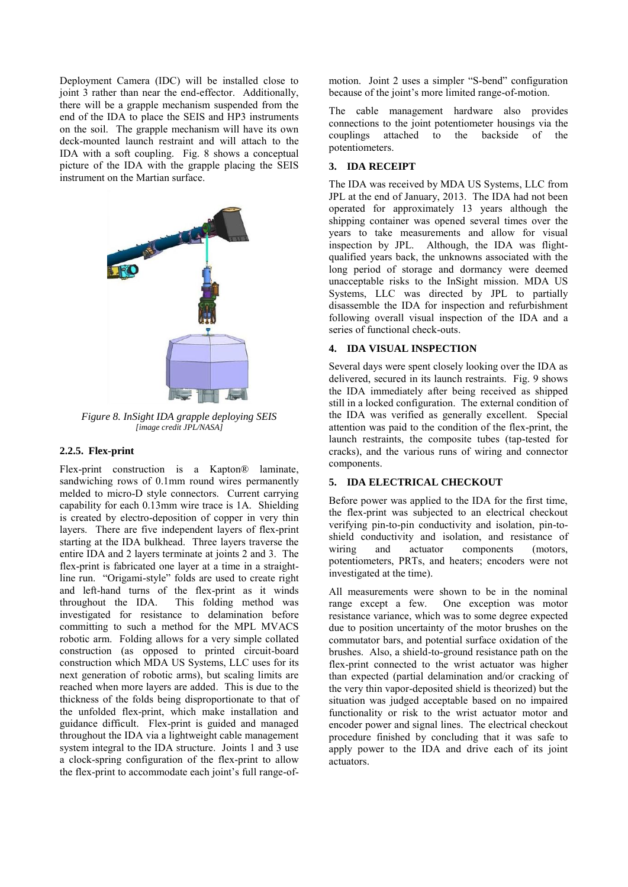Deployment Camera (IDC) will be installed close to joint 3 rather than near the end-effector. Additionally, there will be a grapple mechanism suspended from the end of the IDA to place the SEIS and HP3 instruments on the soil. The grapple mechanism will have its own deck-mounted launch restraint and will attach to the IDA with a soft coupling. Fig. 8 shows a conceptual picture of the IDA with the grapple placing the SEIS instrument on the Martian surface.



*Figure 8. InSight IDA grapple deploying SEIS [image credit JPL/NASA]* 

#### **2.2.5. Flex-print**

Flex-print construction is a Kapton® laminate, sandwiching rows of 0.1mm round wires permanently melded to micro-D style connectors. Current carrying capability for each 0.13mm wire trace is 1A. Shielding is created by electro-deposition of copper in very thin layers. There are five independent layers of flex-print starting at the IDA bulkhead. Three layers traverse the entire IDA and 2 layers terminate at joints 2 and 3. The flex-print is fabricated one layer at a time in a straightline run. "Origami-style" folds are used to create right and left-hand turns of the flex-print as it winds throughout the IDA. This folding method was investigated for resistance to delamination before committing to such a method for the MPL MVACS robotic arm. Folding allows for a very simple collated construction (as opposed to printed circuit-board construction which MDA US Systems, LLC uses for its next generation of robotic arms), but scaling limits are reached when more layers are added. This is due to the thickness of the folds being disproportionate to that of the unfolded flex-print, which make installation and guidance difficult. Flex-print is guided and managed throughout the IDA via a lightweight cable management system integral to the IDA structure. Joints 1 and 3 use a clock-spring configuration of the flex-print to allow the flex-print to accommodate each joint's full range-ofmotion. Joint 2 uses a simpler "S-bend" configuration because of the joint's more limited range-of-motion.

The cable management hardware also provides connections to the joint potentiometer housings via the couplings attached to the backside of the potentiometers.

# **3. IDA RECEIPT**

The IDA was received by MDA US Systems, LLC from JPL at the end of January, 2013. The IDA had not been operated for approximately 13 years although the shipping container was opened several times over the years to take measurements and allow for visual inspection by JPL. Although, the IDA was flightqualified years back, the unknowns associated with the long period of storage and dormancy were deemed unacceptable risks to the InSight mission. MDA US Systems, LLC was directed by JPL to partially disassemble the IDA for inspection and refurbishment following overall visual inspection of the IDA and a series of functional check-outs.

## **4. IDA VISUAL INSPECTION**

Several days were spent closely looking over the IDA as delivered, secured in its launch restraints. Fig. 9 shows the IDA immediately after being received as shipped still in a locked configuration. The external condition of the IDA was verified as generally excellent. Special attention was paid to the condition of the flex-print, the launch restraints, the composite tubes (tap-tested for cracks), and the various runs of wiring and connector components.

# **5. IDA ELECTRICAL CHECKOUT**

Before power was applied to the IDA for the first time, the flex-print was subjected to an electrical checkout verifying pin-to-pin conductivity and isolation, pin-toshield conductivity and isolation, and resistance of wiring and actuator components (motors. wiring and actuator components (motors, potentiometers, PRTs, and heaters; encoders were not investigated at the time).

All measurements were shown to be in the nominal range except a few. One exception was motor resistance variance, which was to some degree expected due to position uncertainty of the motor brushes on the commutator bars, and potential surface oxidation of the brushes. Also, a shield-to-ground resistance path on the flex-print connected to the wrist actuator was higher than expected (partial delamination and/or cracking of the very thin vapor-deposited shield is theorized) but the situation was judged acceptable based on no impaired functionality or risk to the wrist actuator motor and encoder power and signal lines. The electrical checkout procedure finished by concluding that it was safe to apply power to the IDA and drive each of its joint actuators.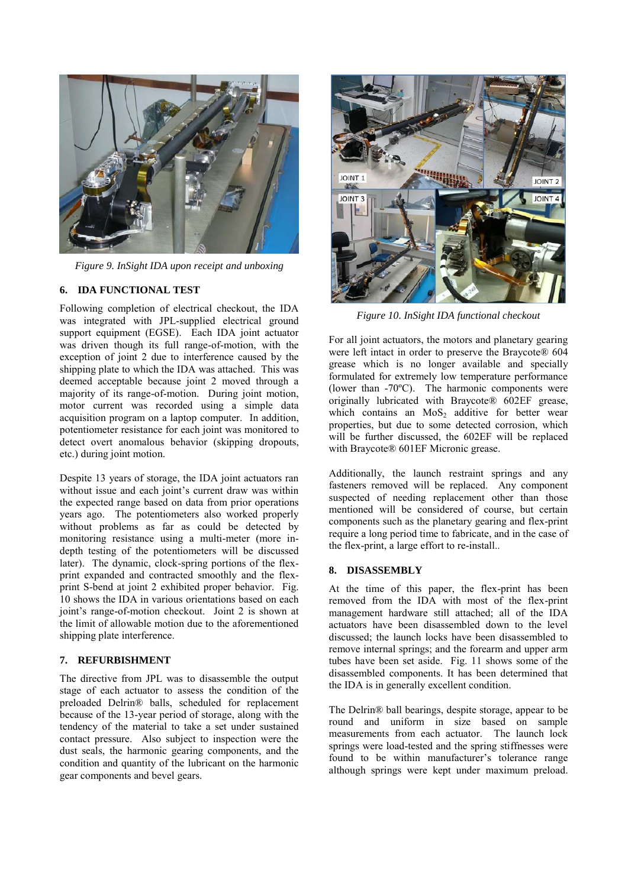

*Figure 9. InSight IDA upon receipt and unboxing* 

## **6. IDA FUNCTIONAL TEST**

Following completion of electrical checkout, the IDA was integrated with JPL-supplied electrical ground support equipment (EGSE). Each IDA joint actuator was driven though its full range-of-motion, with the exception of joint 2 due to interference caused by the shipping plate to which the IDA was attached. This was deemed acceptable because joint 2 moved through a majority of its range-of-motion. During joint motion, motor current was recorded using a simple data acquisition program on a laptop computer. In addition, potentiometer resistance for each joint was monitored to detect overt anomalous behavior (skipping dropouts, etc.) during joint motion.

Despite 13 years of storage, the IDA joint actuators ran without issue and each joint's current draw was within the expected range based on data from prior operations years ago. The potentiometers also worked properly without problems as far as could be detected by monitoring resistance using a multi-meter (more indepth testing of the potentiometers will be discussed later). The dynamic, clock-spring portions of the flexprint expanded and contracted smoothly and the flexprint S-bend at joint 2 exhibited proper behavior. Fig. 10 shows the IDA in various orientations based on each joint's range-of-motion checkout. Joint 2 is shown at the limit of allowable motion due to the aforementioned shipping plate interference.

#### **7. REFURBISHMENT**

The directive from JPL was to disassemble the output stage of each actuator to assess the condition of the preloaded Delrin® balls, scheduled for replacement because of the 13-year period of storage, along with the tendency of the material to take a set under sustained contact pressure. Also subject to inspection were the dust seals, the harmonic gearing components, and the condition and quantity of the lubricant on the harmonic gear components and bevel gears.



*Figure 10. InSight IDA functional checkout* 

For all joint actuators, the motors and planetary gearing were left intact in order to preserve the Braycote® 604 grease which is no longer available and specially formulated for extremely low temperature performance (lower than -70ºC). The harmonic components were originally lubricated with Braycote® 602EF grease, which contains an  $MoS<sub>2</sub>$  additive for better wear properties, but due to some detected corrosion, which will be further discussed, the 602EF will be replaced with Braycote® 601EF Micronic grease.

Additionally, the launch restraint springs and any fasteners removed will be replaced. Any component suspected of needing replacement other than those mentioned will be considered of course, but certain components such as the planetary gearing and flex-print require a long period time to fabricate, and in the case of the flex-print, a large effort to re-install..

#### **8. DISASSEMBLY**

At the time of this paper, the flex-print has been removed from the IDA with most of the flex-print management hardware still attached; all of the IDA actuators have been disassembled down to the level discussed; the launch locks have been disassembled to remove internal springs; and the forearm and upper arm tubes have been set aside. Fig. 11 shows some of the disassembled components. It has been determined that the IDA is in generally excellent condition.

The Delrin® ball bearings, despite storage, appear to be round and uniform in size based on sample measurements from each actuator. The launch lock springs were load-tested and the spring stiffnesses were found to be within manufacturer's tolerance range although springs were kept under maximum preload.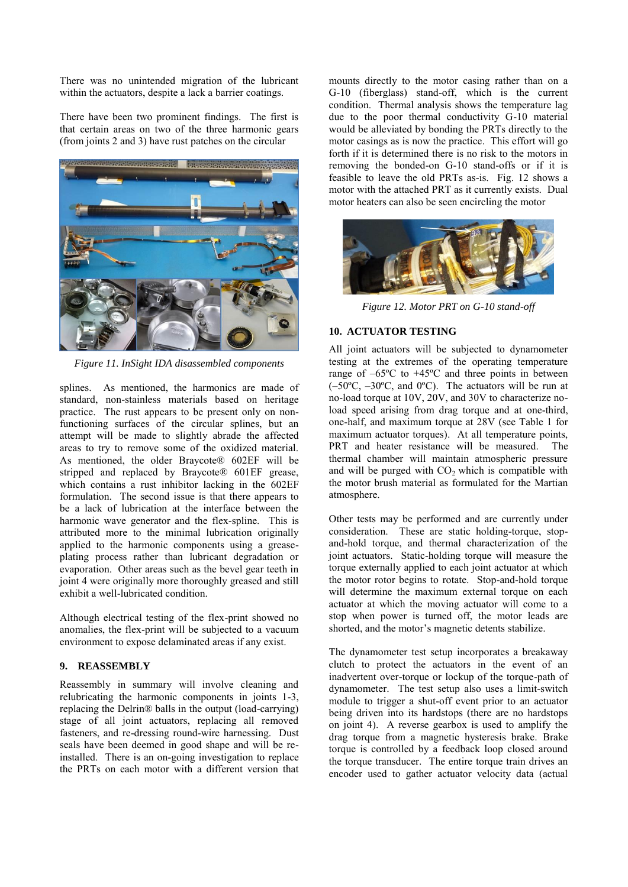There was no unintended migration of the lubricant within the actuators, despite a lack a barrier coatings.

There have been two prominent findings. The first is that certain areas on two of the three harmonic gears (from joints 2 and 3) have rust patches on the circular



*Figure 11. InSight IDA disassembled components* 

splines. As mentioned, the harmonics are made of standard, non-stainless materials based on heritage practice. The rust appears to be present only on nonfunctioning surfaces of the circular splines, but an attempt will be made to slightly abrade the affected areas to try to remove some of the oxidized material. As mentioned, the older Braycote® 602EF will be stripped and replaced by Braycote® 601EF grease, which contains a rust inhibitor lacking in the 602EF formulation. The second issue is that there appears to be a lack of lubrication at the interface between the harmonic wave generator and the flex-spline. This is attributed more to the minimal lubrication originally applied to the harmonic components using a greaseplating process rather than lubricant degradation or evaporation. Other areas such as the bevel gear teeth in joint 4 were originally more thoroughly greased and still exhibit a well-lubricated condition.

Although electrical testing of the flex-print showed no anomalies, the flex-print will be subjected to a vacuum environment to expose delaminated areas if any exist.

#### **9. REASSEMBLY**

Reassembly in summary will involve cleaning and relubricating the harmonic components in joints 1-3, replacing the Delrin® balls in the output (load-carrying) stage of all joint actuators, replacing all removed fasteners, and re-dressing round-wire harnessing. Dust seals have been deemed in good shape and will be reinstalled. There is an on-going investigation to replace the PRTs on each motor with a different version that mounts directly to the motor casing rather than on a G-10 (fiberglass) stand-off, which is the current condition. Thermal analysis shows the temperature lag due to the poor thermal conductivity G-10 material would be alleviated by bonding the PRTs directly to the motor casings as is now the practice. This effort will go forth if it is determined there is no risk to the motors in removing the bonded-on G-10 stand-offs or if it is feasible to leave the old PRTs as-is. Fig. 12 shows a motor with the attached PRT as it currently exists. Dual motor heaters can also be seen encircling the motor



*Figure 12. Motor PRT on G-10 stand-off* 

#### **10. ACTUATOR TESTING**

All joint actuators will be subjected to dynamometer testing at the extremes of the operating temperature range of –65ºC to +45ºC and three points in between  $(-50^{\circ}C, -30^{\circ}C,$  and  $0^{\circ}C)$ . The actuators will be run at no-load torque at 10V, 20V, and 30V to characterize noload speed arising from drag torque and at one-third, one-half, and maximum torque at 28V (see Table 1 for maximum actuator torques). At all temperature points, PRT and heater resistance will be measured. The thermal chamber will maintain atmospheric pressure and will be purged with  $CO<sub>2</sub>$  which is compatible with the motor brush material as formulated for the Martian atmosphere.

Other tests may be performed and are currently under consideration. These are static holding-torque, stopand-hold torque, and thermal characterization of the joint actuators. Static-holding torque will measure the torque externally applied to each joint actuator at which the motor rotor begins to rotate. Stop-and-hold torque will determine the maximum external torque on each actuator at which the moving actuator will come to a stop when power is turned off, the motor leads are shorted, and the motor's magnetic detents stabilize.

The dynamometer test setup incorporates a breakaway clutch to protect the actuators in the event of an inadvertent over-torque or lockup of the torque-path of dynamometer. The test setup also uses a limit-switch module to trigger a shut-off event prior to an actuator being driven into its hardstops (there are no hardstops on joint 4). A reverse gearbox is used to amplify the drag torque from a magnetic hysteresis brake. Brake torque is controlled by a feedback loop closed around the torque transducer. The entire torque train drives an encoder used to gather actuator velocity data (actual